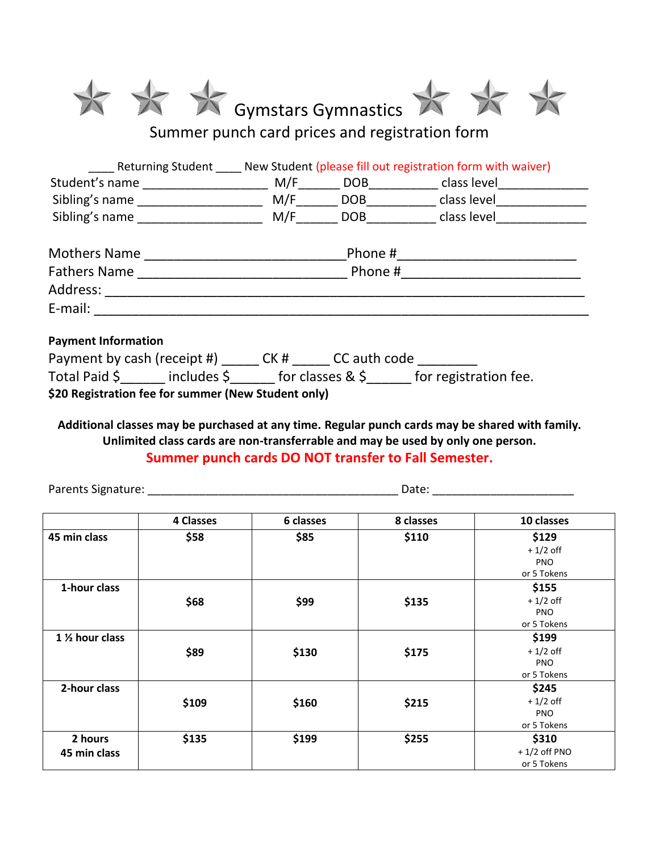| Gymstars Gymnastics |  |  |
|---------------------|--|--|
|---------------------|--|--|

Summer punch card prices and registration form

| Returning Student New Student (please fill out registration form with waiver)                     |                      |  |  |  |
|---------------------------------------------------------------------------------------------------|----------------------|--|--|--|
|                                                                                                   |                      |  |  |  |
|                                                                                                   |                      |  |  |  |
|                                                                                                   |                      |  |  |  |
|                                                                                                   |                      |  |  |  |
|                                                                                                   | Fathers Name Phone # |  |  |  |
|                                                                                                   |                      |  |  |  |
| E-mail:                                                                                           |                      |  |  |  |
| <b>Payment Information</b>                                                                        |                      |  |  |  |
| Payment by cash (receipt #) _______ CK # ______ CC auth code __________                           |                      |  |  |  |
| Total Paid $\frac{1}{2}$ includes $\frac{1}{2}$ for classes & $\frac{1}{2}$ for registration fee. |                      |  |  |  |
| \$20 Registration fee for summer (New Student only)                                               |                      |  |  |  |

**Additional classes may be purchased at any time. Regular punch cards may be shared with family. Unlimited class cards are non-transferrable and may be used by only one person. Summer punch cards DO NOT transfer to Fall Semester.**

Parents Signature: \_\_\_\_\_\_\_\_\_\_\_\_\_\_\_\_\_\_\_\_\_\_\_\_\_\_\_\_\_\_\_\_\_\_\_\_\_\_\_ Date: \_\_\_\_\_\_\_\_\_\_\_\_\_\_\_\_\_\_\_\_\_\_

|                | <b>4 Classes</b> | 6 classes | 8 classes | 10 classes     |
|----------------|------------------|-----------|-----------|----------------|
| 45 min class   | \$58             | \$85      | \$110     | \$129          |
|                |                  |           |           | $+1/2$ off     |
|                |                  |           |           | <b>PNO</b>     |
|                |                  |           |           | or 5 Tokens    |
| 1-hour class   |                  |           |           | \$155          |
|                | \$68             | \$99      | \$135     | $+1/2$ off     |
|                |                  |           |           | <b>PNO</b>     |
|                |                  |           |           | or 5 Tokens    |
| 1 % hour class |                  |           |           | \$199          |
|                | \$89             | \$130     | \$175     | $+1/2$ off     |
|                |                  |           |           | <b>PNO</b>     |
|                |                  |           |           | or 5 Tokens    |
| 2-hour class   |                  |           |           | \$245          |
|                | \$109            | \$160     | \$215     | $+1/2$ off     |
|                |                  |           |           | <b>PNO</b>     |
|                |                  |           |           | or 5 Tokens    |
| 2 hours        | \$135            | \$199     | \$255     | \$310          |
| 45 min class   |                  |           |           | $+1/2$ off PNO |
|                |                  |           |           | or 5 Tokens    |